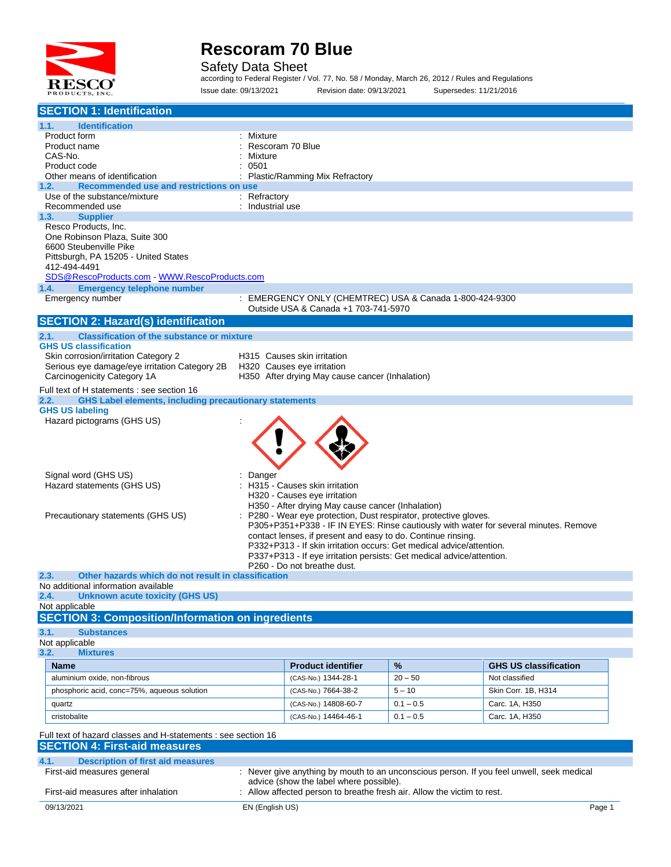

Safety Data Sheet

according to Federal Register / Vol. 77, No. 58 / Monday, March 26, 2012 / Rules and Regulations Issue date: 09/13/2021 Revision date: 09/13/2021 Supersedes: 11/21/2016

| <b>SECTION 1: Identification</b>                                                                                    |                  |                                                                               |             |                                                                                           |
|---------------------------------------------------------------------------------------------------------------------|------------------|-------------------------------------------------------------------------------|-------------|-------------------------------------------------------------------------------------------|
| 1.1.<br><b>Identification</b>                                                                                       |                  |                                                                               |             |                                                                                           |
| Product form                                                                                                        | : Mixture        |                                                                               |             |                                                                                           |
| Product name                                                                                                        | Rescoram 70 Blue |                                                                               |             |                                                                                           |
| CAS-No.                                                                                                             | Mixture<br>0501  |                                                                               |             |                                                                                           |
| Product code<br>Other means of identification                                                                       |                  | Plastic/Ramming Mix Refractory                                                |             |                                                                                           |
| Recommended use and restrictions on use<br>1.2.                                                                     |                  |                                                                               |             |                                                                                           |
| Use of the substance/mixture                                                                                        | $:$ Refractory   |                                                                               |             |                                                                                           |
| Recommended use                                                                                                     | : Industrial use |                                                                               |             |                                                                                           |
| 1.3.<br><b>Supplier</b><br>Resco Products, Inc.                                                                     |                  |                                                                               |             |                                                                                           |
| One Robinson Plaza, Suite 300                                                                                       |                  |                                                                               |             |                                                                                           |
| 6600 Steubenville Pike                                                                                              |                  |                                                                               |             |                                                                                           |
| Pittsburgh, PA 15205 - United States                                                                                |                  |                                                                               |             |                                                                                           |
| 412-494-4491                                                                                                        |                  |                                                                               |             |                                                                                           |
| SDS@RescoProducts.com - WWW.RescoProducts.com                                                                       |                  |                                                                               |             |                                                                                           |
| 1.4.<br><b>Emergency telephone number</b><br>Emergency number                                                       |                  | : EMERGENCY ONLY (CHEMTREC) USA & Canada 1-800-424-9300                       |             |                                                                                           |
|                                                                                                                     |                  | Outside USA & Canada +1 703-741-5970                                          |             |                                                                                           |
| <b>SECTION 2: Hazard(s) identification</b>                                                                          |                  |                                                                               |             |                                                                                           |
| <b>Classification of the substance or mixture</b><br>2.1.                                                           |                  |                                                                               |             |                                                                                           |
| <b>GHS US classification</b>                                                                                        |                  |                                                                               |             |                                                                                           |
| Skin corrosion/irritation Category 2                                                                                |                  | H315 Causes skin irritation                                                   |             |                                                                                           |
| Serious eye damage/eye irritation Category 2B<br>Carcinogenicity Category 1A                                        |                  | H320 Causes eye irritation<br>H350 After drying May cause cancer (Inhalation) |             |                                                                                           |
|                                                                                                                     |                  |                                                                               |             |                                                                                           |
| Full text of H statements : see section 16<br><b>GHS Label elements, including precautionary statements</b><br>2.2. |                  |                                                                               |             |                                                                                           |
| <b>GHS US labeling</b>                                                                                              |                  |                                                                               |             |                                                                                           |
| Hazard pictograms (GHS US)                                                                                          |                  |                                                                               |             |                                                                                           |
|                                                                                                                     |                  |                                                                               |             |                                                                                           |
|                                                                                                                     |                  |                                                                               |             |                                                                                           |
|                                                                                                                     |                  |                                                                               |             |                                                                                           |
| Signal word (GHS US)                                                                                                | Danger           |                                                                               |             |                                                                                           |
| Hazard statements (GHS US)                                                                                          |                  | H315 - Causes skin irritation                                                 |             |                                                                                           |
|                                                                                                                     |                  | H320 - Causes eye irritation                                                  |             |                                                                                           |
|                                                                                                                     |                  | H350 - After drying May cause cancer (Inhalation)                             |             |                                                                                           |
| Precautionary statements (GHS US)                                                                                   |                  | P280 - Wear eye protection, Dust respirator, protective gloves.               |             |                                                                                           |
|                                                                                                                     |                  | contact lenses, if present and easy to do. Continue rinsing.                  |             | P305+P351+P338 - IF IN EYES: Rinse cautiously with water for several minutes. Remove      |
|                                                                                                                     |                  | P332+P313 - If skin irritation occurs: Get medical advice/attention.          |             |                                                                                           |
|                                                                                                                     |                  | P337+P313 - If eye irritation persists: Get medical advice/attention.         |             |                                                                                           |
|                                                                                                                     |                  | P260 - Do not breathe dust.                                                   |             |                                                                                           |
| 2.3.<br>Other hazards which do not result in classification<br>No additional information available                  |                  |                                                                               |             |                                                                                           |
| <b>Unknown acute toxicity (GHS US)</b><br>2.4.                                                                      |                  |                                                                               |             |                                                                                           |
| Not applicable                                                                                                      |                  |                                                                               |             |                                                                                           |
| <b>SECTION 3: Composition/Information on ingredients</b>                                                            |                  |                                                                               |             |                                                                                           |
| 3.1.<br><b>Substances</b>                                                                                           |                  |                                                                               |             |                                                                                           |
| Not applicable                                                                                                      |                  |                                                                               |             |                                                                                           |
| 3.2.<br><b>Mixtures</b>                                                                                             |                  |                                                                               |             |                                                                                           |
| <b>Name</b><br>aluminium oxide, non-fibrous                                                                         |                  | <b>Product identifier</b><br>(CAS-No.) 1344-28-1                              | %           | <b>GHS US classification</b><br>Not classified                                            |
|                                                                                                                     |                  |                                                                               | $20 - 50$   |                                                                                           |
| phosphoric acid, conc=75%, aqueous solution                                                                         |                  | (CAS-No.) 7664-38-2                                                           | $5 - 10$    | Skin Corr. 1B, H314                                                                       |
| quartz                                                                                                              |                  | (CAS-No.) 14808-60-7                                                          | $0.1 - 0.5$ | Carc. 1A, H350                                                                            |
| cristobalite                                                                                                        |                  | (CAS-No.) 14464-46-1                                                          | $0.1 - 0.5$ | Carc. 1A, H350                                                                            |
| Full text of hazard classes and H-statements : see section 16                                                       |                  |                                                                               |             |                                                                                           |
| <b>SECTION 4: First-aid measures</b>                                                                                |                  |                                                                               |             |                                                                                           |
| 4.1.<br><b>Description of first aid measures</b>                                                                    |                  |                                                                               |             |                                                                                           |
| First-aid measures general                                                                                          |                  |                                                                               |             | : Never give anything by mouth to an unconscious person. If you feel unwell, seek medical |
|                                                                                                                     |                  | advice (show the label where possible).                                       |             |                                                                                           |
| First-aid measures after inhalation                                                                                 |                  | Allow affected person to breathe fresh air. Allow the victim to rest.         |             |                                                                                           |
| 09/13/2021                                                                                                          | EN (English US)  |                                                                               |             | Page 1                                                                                    |
|                                                                                                                     |                  |                                                                               |             |                                                                                           |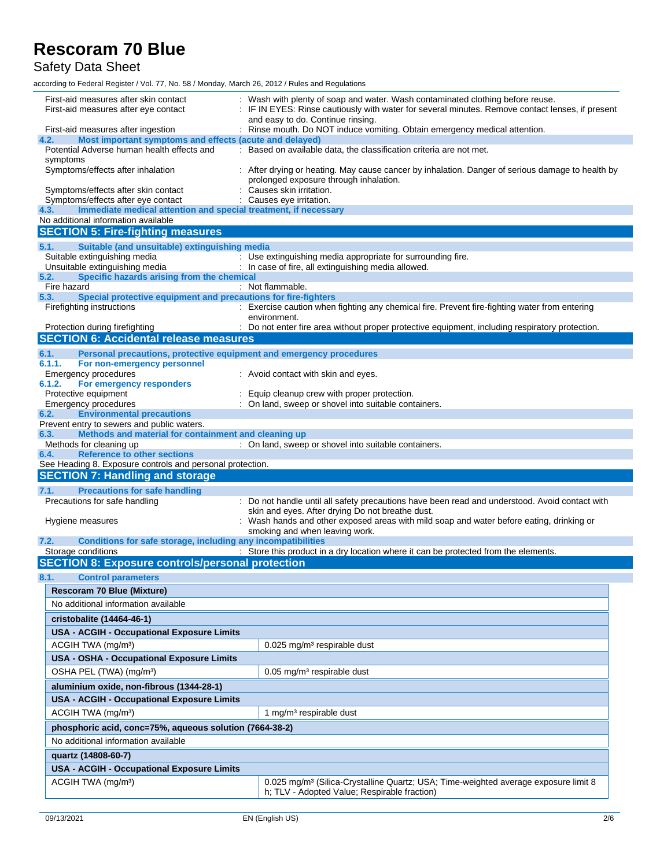Safety Data Sheet

according to Federal Register / Vol. 77, No. 58 / Monday, March 26, 2012 / Rules and Regulations

| First-aid measures after skin contact<br>First-aid measures after eye contact                           | Wash with plenty of soap and water. Wash contaminated clothing before reuse.<br>IF IN EYES: Rinse cautiously with water for several minutes. Remove contact lenses, if present<br>and easy to do. Continue rinsing. |
|---------------------------------------------------------------------------------------------------------|---------------------------------------------------------------------------------------------------------------------------------------------------------------------------------------------------------------------|
| First-aid measures after ingestion<br>4.2.<br>Most important symptoms and effects (acute and delayed)   | : Rinse mouth. Do NOT induce vomiting. Obtain emergency medical attention.                                                                                                                                          |
| Potential Adverse human health effects and                                                              | : Based on available data, the classification criteria are not met.                                                                                                                                                 |
| symptoms<br>Symptoms/effects after inhalation                                                           | : After drying or heating. May cause cancer by inhalation. Danger of serious damage to health by<br>prolonged exposure through inhalation.                                                                          |
| Symptoms/effects after skin contact<br>Symptoms/effects after eye contact                               | Causes skin irritation.<br>Causes eye irritation.                                                                                                                                                                   |
| Immediate medical attention and special treatment, if necessary<br>4.3.                                 |                                                                                                                                                                                                                     |
| No additional information available<br><b>SECTION 5: Fire-fighting measures</b>                         |                                                                                                                                                                                                                     |
|                                                                                                         |                                                                                                                                                                                                                     |
| 5.1.<br>Suitable (and unsuitable) extinguishing media<br>Suitable extinguishing media                   | : Use extinguishing media appropriate for surrounding fire.                                                                                                                                                         |
| Unsuitable extinguishing media                                                                          | : In case of fire, all extinguishing media allowed.                                                                                                                                                                 |
| 5.2.<br>Specific hazards arising from the chemical                                                      |                                                                                                                                                                                                                     |
| Fire hazard                                                                                             | : Not flammable.                                                                                                                                                                                                    |
| Special protective equipment and precautions for fire-fighters<br>5.3.<br>Firefighting instructions     | : Exercise caution when fighting any chemical fire. Prevent fire-fighting water from entering<br>environment.                                                                                                       |
| Protection during firefighting                                                                          | : Do not enter fire area without proper protective equipment, including respiratory protection.                                                                                                                     |
| <b>SECTION 6: Accidental release measures</b>                                                           |                                                                                                                                                                                                                     |
| 6.1.<br>Personal precautions, protective equipment and emergency procedures                             |                                                                                                                                                                                                                     |
| 6.1.1.<br>For non-emergency personnel                                                                   |                                                                                                                                                                                                                     |
| <b>Emergency procedures</b>                                                                             | : Avoid contact with skin and eyes.                                                                                                                                                                                 |
| 6.1.2.<br>For emergency responders<br>Protective equipment                                              | Equip cleanup crew with proper protection.                                                                                                                                                                          |
| Emergency procedures                                                                                    | : On land, sweep or shovel into suitable containers.                                                                                                                                                                |
| <b>Environmental precautions</b><br>6.2.                                                                |                                                                                                                                                                                                                     |
| Prevent entry to sewers and public waters.                                                              |                                                                                                                                                                                                                     |
| Methods and material for containment and cleaning up<br>6.3.                                            |                                                                                                                                                                                                                     |
| Methods for cleaning up                                                                                 | : On land, sweep or shovel into suitable containers.                                                                                                                                                                |
|                                                                                                         |                                                                                                                                                                                                                     |
| <b>Reference to other sections</b><br>6.4.<br>See Heading 8. Exposure controls and personal protection. |                                                                                                                                                                                                                     |
| <b>SECTION 7: Handling and storage</b>                                                                  |                                                                                                                                                                                                                     |
| 7.1.<br><b>Precautions for safe handling</b>                                                            |                                                                                                                                                                                                                     |
| Precautions for safe handling                                                                           | : Do not handle until all safety precautions have been read and understood. Avoid contact with                                                                                                                      |
| Hygiene measures                                                                                        | skin and eyes. After drying Do not breathe dust.<br>Wash hands and other exposed areas with mild soap and water before eating, drinking or                                                                          |
| 7.2.                                                                                                    | smoking and when leaving work.                                                                                                                                                                                      |
| Conditions for safe storage, including any incompatibilities<br>Storage conditions                      | : Store this product in a dry location where it can be protected from the elements.                                                                                                                                 |
| <b>SECTION 8: Exposure controls/personal protection</b>                                                 |                                                                                                                                                                                                                     |
| 8.1.<br><b>Control parameters</b>                                                                       |                                                                                                                                                                                                                     |
| <b>Rescoram 70 Blue (Mixture)</b>                                                                       |                                                                                                                                                                                                                     |
| No additional information available                                                                     |                                                                                                                                                                                                                     |
| cristobalite (14464-46-1)                                                                               |                                                                                                                                                                                                                     |
| <b>USA - ACGIH - Occupational Exposure Limits</b>                                                       |                                                                                                                                                                                                                     |
| ACGIH TWA (mg/m <sup>3</sup> )                                                                          | 0.025 mg/m <sup>3</sup> respirable dust                                                                                                                                                                             |
| <b>USA - OSHA - Occupational Exposure Limits</b>                                                        |                                                                                                                                                                                                                     |
| OSHA PEL (TWA) (mg/m <sup>3</sup> )                                                                     | 0.05 mg/m <sup>3</sup> respirable dust                                                                                                                                                                              |
|                                                                                                         |                                                                                                                                                                                                                     |
| aluminium oxide, non-fibrous (1344-28-1)                                                                |                                                                                                                                                                                                                     |
| <b>USA - ACGIH - Occupational Exposure Limits</b>                                                       |                                                                                                                                                                                                                     |
| ACGIH TWA (mg/m <sup>3</sup> )                                                                          | 1 mg/m <sup>3</sup> respirable dust                                                                                                                                                                                 |
| phosphoric acid, conc=75%, aqueous solution (7664-38-2)                                                 |                                                                                                                                                                                                                     |
| No additional information available                                                                     |                                                                                                                                                                                                                     |
| quartz (14808-60-7)                                                                                     |                                                                                                                                                                                                                     |
| USA - ACGIH - Occupational Exposure Limits<br>ACGIH TWA (mg/m <sup>3</sup> )                            | 0.025 mg/m <sup>3</sup> (Silica-Crystalline Quartz; USA; Time-weighted average exposure limit 8                                                                                                                     |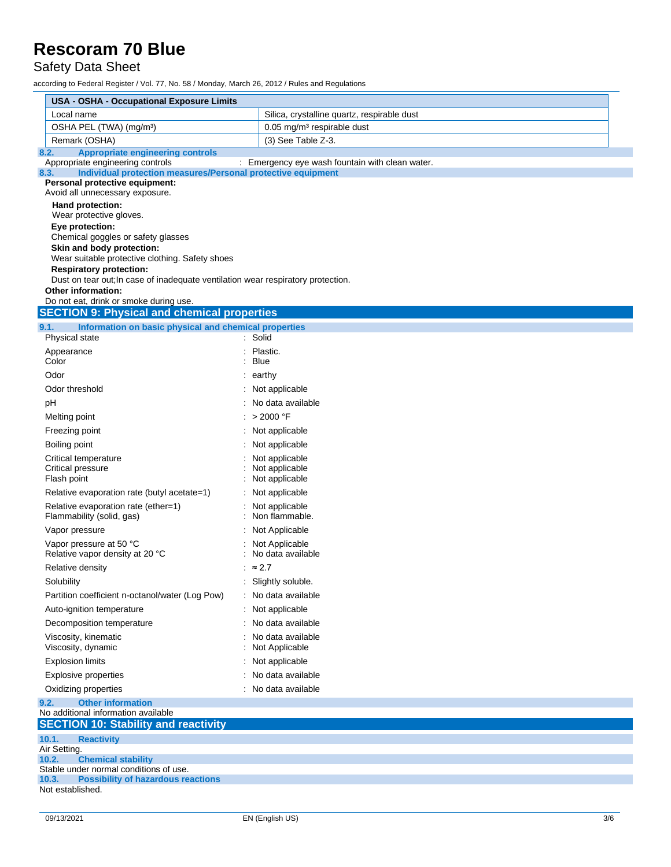Safety Data Sheet

according to Federal Register / Vol. 77, No. 58 / Monday, March 26, 2012 / Rules and Regulations

| <b>USA - OSHA - Occupational Exposure Limits</b>                                                                   |                                                 |  |  |  |
|--------------------------------------------------------------------------------------------------------------------|-------------------------------------------------|--|--|--|
| Local name                                                                                                         | Silica, crystalline quartz, respirable dust     |  |  |  |
| OSHA PEL (TWA) (mg/m <sup>3</sup> )                                                                                | 0.05 mg/m <sup>3</sup> respirable dust          |  |  |  |
| Remark (OSHA)                                                                                                      | (3) See Table Z-3.                              |  |  |  |
| <b>Appropriate engineering controls</b><br>8.2.                                                                    |                                                 |  |  |  |
| Appropriate engineering controls<br>Individual protection measures/Personal protective equipment<br>8.3.           | : Emergency eye wash fountain with clean water. |  |  |  |
| Personal protective equipment:<br>Avoid all unnecessary exposure.                                                  |                                                 |  |  |  |
| Hand protection:                                                                                                   |                                                 |  |  |  |
| Wear protective gloves.                                                                                            |                                                 |  |  |  |
| Eye protection:<br>Chemical goggles or safety glasses                                                              |                                                 |  |  |  |
| Skin and body protection:                                                                                          |                                                 |  |  |  |
| Wear suitable protective clothing. Safety shoes                                                                    |                                                 |  |  |  |
| <b>Respiratory protection:</b><br>Dust on tear out; In case of inadequate ventilation wear respiratory protection. |                                                 |  |  |  |
| Other information:                                                                                                 |                                                 |  |  |  |
| Do not eat, drink or smoke during use.                                                                             |                                                 |  |  |  |
| <b>SECTION 9: Physical and chemical properties</b>                                                                 |                                                 |  |  |  |
| Information on basic physical and chemical properties<br>9.1.<br>Physical state                                    | : Solid                                         |  |  |  |
| Appearance                                                                                                         | Plastic.                                        |  |  |  |
| Color                                                                                                              | Blue                                            |  |  |  |
| Odor                                                                                                               | : earthy                                        |  |  |  |
| Odor threshold                                                                                                     | : Not applicable                                |  |  |  |
| рH                                                                                                                 | : No data available                             |  |  |  |
| Melting point                                                                                                      | : > 2000 °F                                     |  |  |  |
| Freezing point                                                                                                     | : Not applicable                                |  |  |  |
| Boiling point                                                                                                      | : Not applicable                                |  |  |  |
| Critical temperature                                                                                               | Not applicable                                  |  |  |  |
| Critical pressure                                                                                                  | Not applicable                                  |  |  |  |
| Flash point                                                                                                        | Not applicable                                  |  |  |  |
| Relative evaporation rate (butyl acetate=1)<br>Relative evaporation rate (ether=1)                                 | : Not applicable<br>Not applicable              |  |  |  |
| Flammability (solid, gas)                                                                                          | Non flammable.                                  |  |  |  |
| Vapor pressure                                                                                                     | : Not Applicable                                |  |  |  |
| Vapor pressure at 50 °C<br>Relative vapor density at 20 °C                                                         | : Not Applicable<br>No data available           |  |  |  |
| Relative density                                                                                                   | : $\approx$ 2.7                                 |  |  |  |
| Solubility                                                                                                         | Slightly soluble.                               |  |  |  |
| Partition coefficient n-octanol/water (Log Pow)                                                                    | : No data available                             |  |  |  |
| Auto-ignition temperature                                                                                          | : Not applicable                                |  |  |  |
| Decomposition temperature                                                                                          | : No data available                             |  |  |  |
| Viscosity, kinematic<br>Viscosity, dynamic                                                                         | No data available<br>Not Applicable             |  |  |  |
| <b>Explosion limits</b>                                                                                            | : Not applicable                                |  |  |  |
| <b>Explosive properties</b>                                                                                        | : No data available                             |  |  |  |
| Oxidizing properties                                                                                               | : No data available                             |  |  |  |
| <b>Other information</b><br>9.2.                                                                                   |                                                 |  |  |  |
| No additional information available                                                                                |                                                 |  |  |  |
| <b>SECTION 10: Stability and reactivity</b>                                                                        |                                                 |  |  |  |
| 10.1.<br><b>Reactivity</b>                                                                                         |                                                 |  |  |  |
| Air Setting.<br><b>Chemical stability</b><br>10.2.                                                                 |                                                 |  |  |  |
| Stable under normal conditions of use.                                                                             |                                                 |  |  |  |
| <b>Possibility of hazardous reactions</b><br>10.3.<br>Not established.                                             |                                                 |  |  |  |
|                                                                                                                    |                                                 |  |  |  |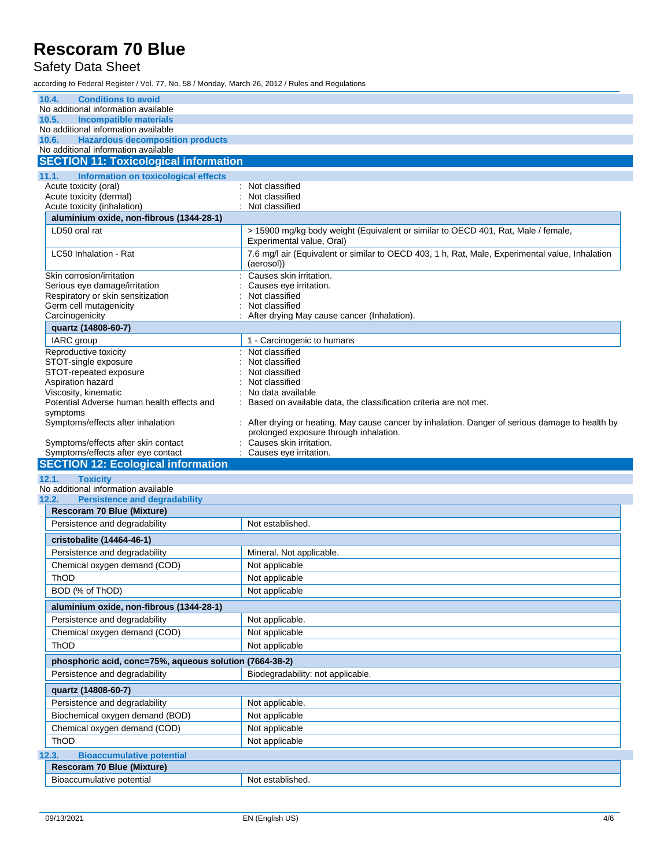#### Safety Data Sheet

according to Federal Register / Vol. 77, No. 58 / Monday, March 26, 2012 / Rules and Regulations

| 10.4.<br><b>Conditions to avoid</b>                                             |                                                                                                                                          |
|---------------------------------------------------------------------------------|------------------------------------------------------------------------------------------------------------------------------------------|
| No additional information available                                             |                                                                                                                                          |
| <b>Incompatible materials</b><br>10.5.                                          |                                                                                                                                          |
| No additional information available                                             |                                                                                                                                          |
| 10.6.<br><b>Hazardous decomposition products</b>                                |                                                                                                                                          |
| No additional information available                                             |                                                                                                                                          |
| <b>SECTION 11: Toxicological information</b>                                    |                                                                                                                                          |
| 11.1.<br>Information on toxicological effects                                   |                                                                                                                                          |
| Acute toxicity (oral)                                                           | : Not classified                                                                                                                         |
| Acute toxicity (dermal)                                                         | Not classified<br>Not classified                                                                                                         |
| Acute toxicity (inhalation)<br>aluminium oxide, non-fibrous (1344-28-1)         |                                                                                                                                          |
|                                                                                 |                                                                                                                                          |
| LD50 oral rat                                                                   | > 15900 mg/kg body weight (Equivalent or similar to OECD 401, Rat, Male / female,<br>Experimental value, Oral)                           |
| LC50 Inhalation - Rat                                                           | 7.6 mg/l air (Equivalent or similar to OECD 403, 1 h, Rat, Male, Experimental value, Inhalation<br>(aerosol))                            |
| Skin corrosion/irritation                                                       | Causes skin irritation.                                                                                                                  |
| Serious eye damage/irritation                                                   | Causes eye irritation.                                                                                                                   |
| Respiratory or skin sensitization                                               | Not classified                                                                                                                           |
| Germ cell mutagenicity                                                          | Not classified                                                                                                                           |
| Carcinogenicity                                                                 | After drying May cause cancer (Inhalation).                                                                                              |
| quartz (14808-60-7)                                                             |                                                                                                                                          |
| IARC group                                                                      | 1 - Carcinogenic to humans                                                                                                               |
| Reproductive toxicity                                                           | Not classified                                                                                                                           |
| STOT-single exposure                                                            | Not classified                                                                                                                           |
| STOT-repeated exposure                                                          | Not classified                                                                                                                           |
| Aspiration hazard                                                               | Not classified                                                                                                                           |
| Viscosity, kinematic                                                            | No data available                                                                                                                        |
| Potential Adverse human health effects and                                      | Based on available data, the classification criteria are not met.                                                                        |
| symptoms                                                                        |                                                                                                                                          |
| Symptoms/effects after inhalation                                               | After drying or heating. May cause cancer by inhalation. Danger of serious damage to health by<br>prolonged exposure through inhalation. |
|                                                                                 |                                                                                                                                          |
|                                                                                 |                                                                                                                                          |
| Symptoms/effects after skin contact                                             | Causes skin irritation.<br>Causes eye irritation.                                                                                        |
| Symptoms/effects after eye contact<br><b>SECTION 12: Ecological information</b> |                                                                                                                                          |
|                                                                                 |                                                                                                                                          |
| 12.1.<br><b>Toxicity</b><br>No additional information available                 |                                                                                                                                          |
| <b>Persistence and degradability</b><br>12.2.                                   |                                                                                                                                          |
| Rescoram 70 Blue (Mixture)                                                      |                                                                                                                                          |
| Persistence and degradability                                                   | Not established.                                                                                                                         |
|                                                                                 |                                                                                                                                          |
| cristobalite (14464-46-1)                                                       |                                                                                                                                          |
| Persistence and degradability                                                   | Mineral. Not applicable.                                                                                                                 |
| Chemical oxygen demand (COD)                                                    | Not applicable                                                                                                                           |
| ThOD                                                                            | Not applicable                                                                                                                           |
| BOD (% of ThOD)                                                                 | Not applicable                                                                                                                           |
| aluminium oxide, non-fibrous (1344-28-1)                                        |                                                                                                                                          |
| Persistence and degradability                                                   | Not applicable.                                                                                                                          |
| Chemical oxygen demand (COD)                                                    | Not applicable                                                                                                                           |
| ThOD                                                                            | Not applicable                                                                                                                           |
| phosphoric acid, conc=75%, aqueous solution (7664-38-2)                         |                                                                                                                                          |
| Persistence and degradability                                                   | Biodegradability: not applicable.                                                                                                        |
| quartz (14808-60-7)                                                             |                                                                                                                                          |
| Persistence and degradability                                                   | Not applicable.                                                                                                                          |
| Biochemical oxygen demand (BOD)                                                 | Not applicable                                                                                                                           |
| Chemical oxygen demand (COD)                                                    | Not applicable                                                                                                                           |
| ThOD                                                                            | Not applicable                                                                                                                           |
| <b>Bioaccumulative potential</b><br>12.3.                                       |                                                                                                                                          |
| <b>Rescoram 70 Blue (Mixture)</b>                                               |                                                                                                                                          |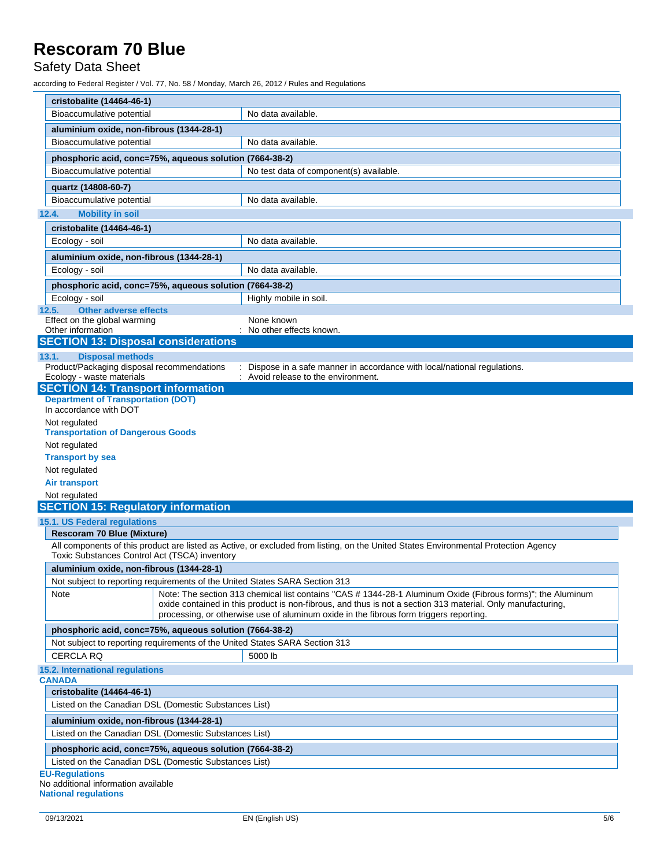#### Safety Data Sheet

according to Federal Register / Vol. 77, No. 58 / Monday, March 26, 2012 / Rules and Regulations

| cristobalite (14464-46-1)                                                   |                                                                                                                                     |
|-----------------------------------------------------------------------------|-------------------------------------------------------------------------------------------------------------------------------------|
| Bioaccumulative potential                                                   | No data available.                                                                                                                  |
| aluminium oxide, non-fibrous (1344-28-1)                                    |                                                                                                                                     |
| Bioaccumulative potential                                                   | No data available.                                                                                                                  |
| phosphoric acid, conc=75%, aqueous solution (7664-38-2)                     |                                                                                                                                     |
| Bioaccumulative potential                                                   | No test data of component(s) available.                                                                                             |
| quartz (14808-60-7)                                                         |                                                                                                                                     |
| Bioaccumulative potential                                                   | No data available.                                                                                                                  |
| 12.4.<br><b>Mobility in soil</b>                                            |                                                                                                                                     |
| cristobalite (14464-46-1)                                                   |                                                                                                                                     |
| Ecology - soil                                                              | No data available.                                                                                                                  |
|                                                                             |                                                                                                                                     |
| aluminium oxide, non-fibrous (1344-28-1)                                    |                                                                                                                                     |
| Ecology - soil                                                              | No data available.                                                                                                                  |
| phosphoric acid, conc=75%, aqueous solution (7664-38-2)                     |                                                                                                                                     |
| Ecology - soil                                                              | Highly mobile in soil.                                                                                                              |
| <b>Other adverse effects</b><br>12.5.<br>Effect on the global warming       | None known                                                                                                                          |
| Other information                                                           | No other effects known.                                                                                                             |
| <b>SECTION 13: Disposal considerations</b>                                  |                                                                                                                                     |
| <b>Disposal methods</b><br>13.1.                                            |                                                                                                                                     |
| Product/Packaging disposal recommendations                                  | Dispose in a safe manner in accordance with local/national regulations.                                                             |
| Ecology - waste materials                                                   | : Avoid release to the environment.                                                                                                 |
| <b>SECTION 14: Transport information</b>                                    |                                                                                                                                     |
| <b>Department of Transportation (DOT)</b>                                   |                                                                                                                                     |
| In accordance with DOT                                                      |                                                                                                                                     |
| Not regulated<br><b>Transportation of Dangerous Goods</b>                   |                                                                                                                                     |
| Not regulated                                                               |                                                                                                                                     |
| <b>Transport by sea</b>                                                     |                                                                                                                                     |
| Not regulated                                                               |                                                                                                                                     |
| <b>Air transport</b>                                                        |                                                                                                                                     |
| Not regulated                                                               |                                                                                                                                     |
| <b>SECTION 15: Regulatory information</b>                                   |                                                                                                                                     |
| 15.1. US Federal regulations                                                |                                                                                                                                     |
| <b>Rescoram 70 Blue (Mixture)</b>                                           |                                                                                                                                     |
|                                                                             | All components of this product are listed as Active, or excluded from listing, on the United States Environmental Protection Agency |
| Toxic Substances Control Act (TSCA) inventory                               |                                                                                                                                     |
| aluminium oxide, non-fibrous (1344-28-1)                                    |                                                                                                                                     |
| Not subject to reporting requirements of the United States SARA Section 313 |                                                                                                                                     |
| Note                                                                        | Note: The section 313 chemical list contains "CAS # 1344-28-1 Aluminum Oxide (Fibrous forms)"; the Aluminum                         |
|                                                                             | oxide contained in this product is non-fibrous, and thus is not a section 313 material. Only manufacturing,                         |
|                                                                             | processing, or otherwise use of aluminum oxide in the fibrous form triggers reporting.                                              |
| phosphoric acid, conc=75%, aqueous solution (7664-38-2)                     |                                                                                                                                     |
| Not subject to reporting requirements of the United States SARA Section 313 |                                                                                                                                     |
| <b>CERCLA RQ</b>                                                            | 5000 lb                                                                                                                             |
| 15.2. International regulations                                             |                                                                                                                                     |
| <b>CANADA</b>                                                               |                                                                                                                                     |
| cristobalite (14464-46-1)                                                   |                                                                                                                                     |
| Listed on the Canadian DSL (Domestic Substances List)                       |                                                                                                                                     |
| aluminium oxide, non-fibrous (1344-28-1)                                    |                                                                                                                                     |
| Listed on the Canadian DSL (Domestic Substances List)                       |                                                                                                                                     |
| phosphoric acid, conc=75%, aqueous solution (7664-38-2)                     |                                                                                                                                     |
| Listed on the Canadian DSL (Domestic Substances List)                       |                                                                                                                                     |
| <b>EU-Regulations</b>                                                       |                                                                                                                                     |
|                                                                             |                                                                                                                                     |

No additional information available **National regulations**